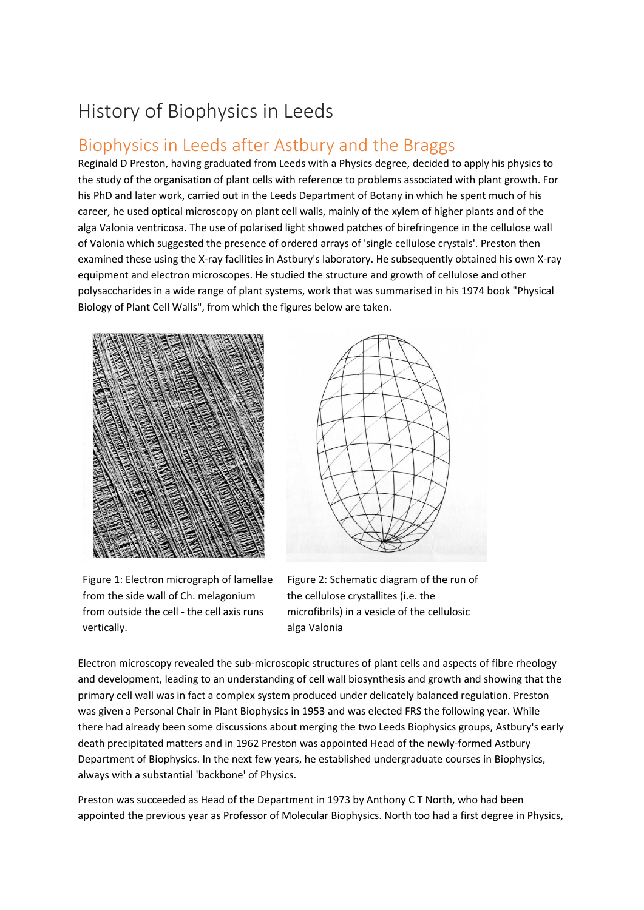## History of Biophysics in Leeds

## Biophysics in Leeds after Astbury and the Braggs

Reginald D Preston, having graduated from Leeds with a Physics degree, decided to apply his physics to the study of the organisation of plant cells with reference to problems associated with plant growth. For his PhD and later work, carried out in the Leeds Department of Botany in which he spent much of his career, he used optical microscopy on plant cell walls, mainly of the xylem of higher plants and of the alga Valonia ventricosa. The use of polarised light showed patches of birefringence in the cellulose wall of Valonia which suggested the presence of ordered arrays of 'single cellulose crystals'. Preston then examined these using the X-ray facilities in Astbury's laboratory. He subsequently obtained his own X-ray equipment and electron microscopes. He studied the structure and growth of cellulose and other polysaccharides in a wide range of plant systems, work that was summarised in his 1974 book "Physical Biology of Plant Cell Walls", from which the figures below are taken.



Figure 1: Electron micrograph of lamellae from the side wall of Ch. melagonium from outside the cell - the cell axis runs vertically.



Figure 2: Schematic diagram of the run of the cellulose crystallites (i.e. the microfibrils) in a vesicle of the cellulosic alga Valonia

Electron microscopy revealed the sub-microscopic structures of plant cells and aspects of fibre rheology and development, leading to an understanding of cell wall biosynthesis and growth and showing that the primary cell wall was in fact a complex system produced under delicately balanced regulation. Preston was given a Personal Chair in Plant Biophysics in 1953 and was elected FRS the following year. While there had already been some discussions about merging the two Leeds Biophysics groups, Astbury's early death precipitated matters and in 1962 Preston was appointed Head of the newly-formed Astbury Department of Biophysics. In the next few years, he established undergraduate courses in Biophysics, always with a substantial 'backbone' of Physics.

Preston was succeeded as Head of the Department in 1973 by Anthony C T North, who had been appointed the previous year as Professor of Molecular Biophysics. North too had a first degree in Physics,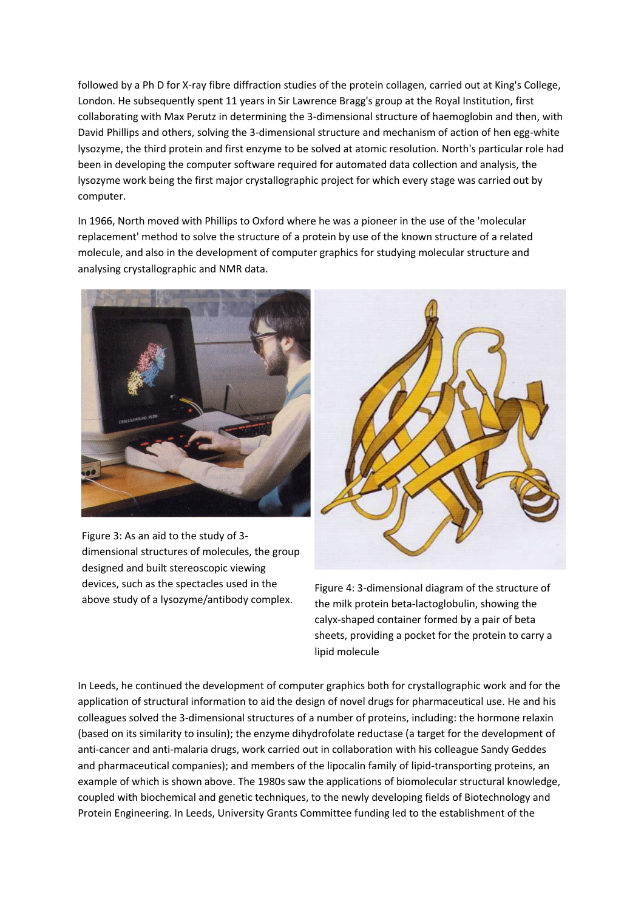followed by a Ph D for X-ray fibre diffraction studies of the protein collagen, carried out at King's College, London. He subsequently spent 11 years in Sir Lawrence Bragg's group at the Royal Institution, first collaborating with Max Perutz in determining the 3-dimensional structure of haemoglobin and then, with David Phillips and others, solving the 3-dimensional structure and mechanism of action of hen egg-white lysozyme, the third protein and first enzyme to be solved at atomic resolution. North's particular role had been in developing the computer software required for automated data collection and analysis, the lysozyme work being the first major crystallographic project for which every stage was carried out by computer.

In 1966, North moved with Phillips to Oxford where he was a pioneer in the use of the 'molecular replacement' method to solve the structure of a protein by use of the known structure of a related molecule, and also in the development of computer graphics for studying molecular structure and analysing crystallographic and NMR data.



Figure 3: As an aid to the study of 3 dimensional structures of molecules, the group designed and built stereoscopic viewing devices, such as the spectacles used in the above study of a lysozyme/antibody complex.



Figure 4: 3-dimensional diagram of the structure of the milk protein beta-lactoglobulin, showing the calyx-shaped container formed by a pair of beta sheets, providing a pocket for the protein to carry a lipid molecule

In Leeds, he continued the development of computer graphics both for crystallographic work and for the application of structural information to aid the design of novel drugs for pharmaceutical use. He and his colleagues solved the 3-dimensional structures of a number of proteins, including: the hormone relaxin (based on its similarity to insulin); the enzyme dihydrofolate reductase (a target for the development of anti-cancer and anti-malaria drugs, work carried out in collaboration with his colleague Sandy Geddes and pharmaceutical companies); and members of the lipocalin family of lipid-transporting proteins, an example of which is shown above. The 1980s saw the applications of biomolecular structural knowledge, coupled with biochemical and genetic techniques, to the newly developing fields of Biotechnology and Protein Engineering. In Leeds, University Grants Committee funding led to the establishment of the